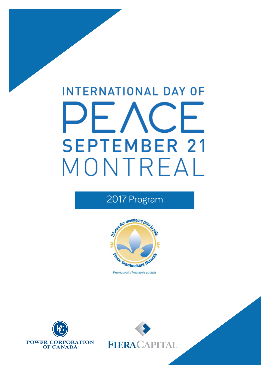# **INTERNATIONAL DAY OF**  $C$ **SEPTEMBER 21** MONTREAL

# 2017 Program



Promouvoir l'harmonie sociale





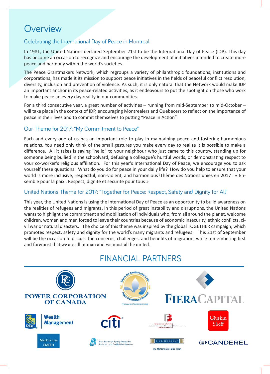# **Overview**

#### Celebrating the International Day of Peace in Montreal

In 1981, the United Nations declared September 21st to be the International Day of Peace (IDP). This day has become an occasion to recognize and encourage the development of initiatives intended to create more peace and harmony within the world's societies.

The Peace Grantmakers Network, which regroups a variety of philanthropic foundations, institutions and corporations, has made it its mission to support peace initiatives in the fields of peaceful conflict resolution, diversity, inclusion and prevention of violence. As such, it is only natural that the Network would make IDP an important anchor in its peace-related activities, as it endeavours to put the spotlight on those who work to make peace an every day reality in our communities.

For a third consecutive year, a great number of activities – running from mid-September to mid-October – will take place in the context of IDP, encouraging Montrealers and Quebecers to reflect on the importance of peace in their lives and to commit themselves to putting "Peace in Action".

#### Our Theme for 2017: "My Commitment to Peace"

Each and every one of us has an important role to play in maintaining peace and fostering harmonious relations. You need only think of the small gestures you make every day to realize it is possible to make a difference. All it takes is saying "hello" to your neighbour who just came to this country, standing up for someone being bullied in the schoolyard, defusing a colleague's hurtful words, or demonstrating respect to your co-worker's religious affiliation. For this year's International Day of Peace, we encourage you to ask yourself these questions: What do you do for peace in your daily life? How do you help to ensure that your world is more inclusive, respectful, non-violent, and harmonious?Thème des Nations unies en 2017 : « Ensemble pour la paix : Respect, dignité et sécurité pour tous »

#### United Nations Theme for 2017: "Together for Peace: Respect, Safety and Dignity for All"

This year, the United Nations is using the International Day of Peace as an opportunity to build awareness on the realities of refugees and migrants. In this period of great instability and disruptions, the United Nations wants to highlight the commitment and mobilization of individuals who, from all around the planet, welcome children, women and men forced to leave their countries because of economic insecurity, ethnic conflicts, civil war or natural disasters. The choice of this theme was inspired by the global TOGETHER campaign, which promotes respect, safety and dignity for the world's many migrants and refugees. This 21st of September will be the occasion to discuss the concerns, challenges, and benefits of migration, while remembering first and foremost that we are all human and we must all be united.

## FINANCIAL PARTNERS

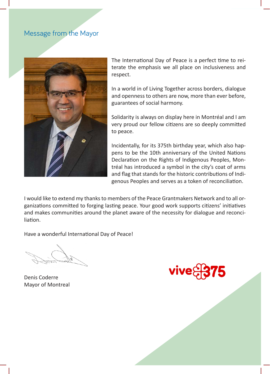#### Message from the Mayor



The International Day of Peace is a perfect time to reiterate the emphasis we all place on inclusiveness and respect.

In a world in of Living Together across borders, dialogue and openness to others are now, more than ever before, guarantees of social harmony.

Solidarity is always on display here in Montréal and I am very proud our fellow citizens are so deeply committed to peace.

Incidentally, for its 375th birthday year, which also happens to be the 10th anniversary of the United Nations Declaration on the Rights of Indigenous Peoples, Montréal has introduced a symbol in the city's coat of arms and flag that stands for the historic contributions of Indigenous Peoples and serves as a token of reconciliation.

I would like to extend my thanks to members of the Peace Grantmakers Network and to all organizations committed to forging lasting peace. Your good work supports citizens' initiatives and makes communities around the planet aware of the necessity for dialogue and reconciliation.

Have a wonderful International Day of Peace!

Denis Coderre Mayor of Montreal

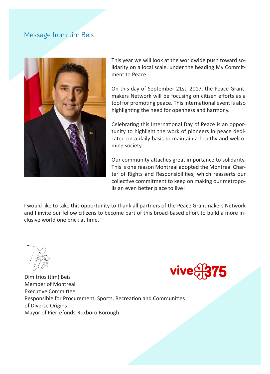#### Message from Jim Beis



This year we will look at the worldwide push toward solidarity on a local scale, under the heading My Commitment to Peace.

On this day of September 21st, 2017, the Peace Grantmakers Network will be focusing on citizen efforts as a tool for promoting peace. This international event is also highlighting the need for openness and harmony.

Celebrating this International Day of Peace is an opportunity to highlight the work of pioneers in peace dedicated on a daily basis to maintain a healthy and welcoming society.

Our community attaches great importance to solidarity. This is one reason Montréal adopted the Montréal Charter of Rights and Responsibilities, which reasserts our collective commitment to keep on making our metropolis an even better place to live!

I would like to take this opportunity to thank all partners of the Peace Grantmakers Network and I invite our fellow citizens to become part of this broad-based effort to build a more inclusive world one brick at time.





Dimitrios (Jim) Beis Member of Montréal Executive Committee Responsible for Procurement, Sports, Recreation and Communities of Diverse Origins Mayor of Pierrefonds-Roxboro Borough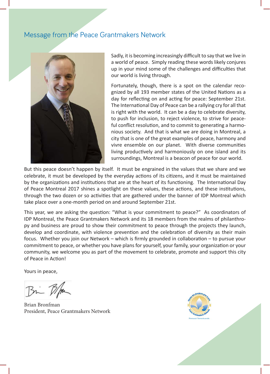#### Message from the Peace Grantmakers Network



Sadly, it is becoming increasingly difficult to say that we live in a world of peace. Simply reading these words likely conjures up in your mind some of the challenges and difficulties that our world is living through.

Fortunately, though, there is a spot on the calendar recognized by all 193 member states of the United Nations as a day for reflecting on and acting for peace: September 21st. The International Day of Peace can be a rallying cry for all that is right with the world. It can be a day to celebrate diversity, to push for inclusion, to reject violence, to strive for peaceful conflict resolution, and to commit to generating a harmonious society. And that is what we are doing in Montreal, a city that is one of the great examples of peace, harmony and vivre ensemble on our planet. With diverse communities living productively and harmoniously on one island and its surroundings, Montreal is a beacon of peace for our world.

But this peace doesn't happen by itself. It must be engrained in the values that we share and we celebrate, it must be developed by the everyday actions of its citizens, and it must be maintained by the organizations and institutions that are at the heart of its functioning. The International Day of Peace Montreal 2017 shines a spotlight on these values, these actions, and these institutions, through the two dozen or so activities that are gathered under the banner of IDP Montreal which take place over a one-month period on and around September 21st.

This year, we are asking the question: "What is your commitment to peace?" As coordinators of IDP Montreal, the Peace Grantmakers Network and its 18 members from the realms of philanthropy and business are proud to show their commitment to peace through the projects they launch, develop and coordinate, with violence prevention and the celebration of diversity as their main focus. Whether you join our Network – which is firmly grounded in collaboration – to pursue your commitment to peace, or whether you have plans for yourself, your family, your organization or your community, we welcome you as part of the movement to celebrate, promote and support this city of Peace in Action!

Yours in peace,

Bin B/m

Brian Bronfman President, Peace Grantmakers Network

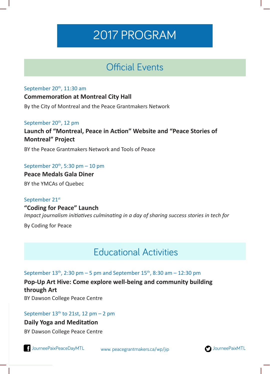# 2017 PROGRAM

# Official Events

#### September 20<sup>th</sup>, 11:30 am

#### **Commemoration at Montreal City Hall**

By the City of Montreal and the Peace Grantmakers Network

#### September 20<sup>th</sup>, 12 pm

**Launch of "Montreal, Peace in Action" Website and "Peace Stories of Montreal" Project**

BY the Peace Grantmakers Network and Tools of Peace

#### September  $20^{th}$ , 5:30 pm  $- 10$  pm

**Peace Medals Gala Diner**  BY the YMCAs of Quebec

September 21st **"Coding for Peace" Launch**  *Impact journalism initiatives culminating in a day of sharing success stories in tech for* 

By Coding for Peace

# Educational Activities

September  $13^{th}$ , 2:30 pm – 5 pm and September  $15^{th}$ , 8:30 am – 12:30 pm

**Pop-Up Art Hive: Come explore well-being and community building through Art**

BY Dawson College Peace Centre

#### September  $13<sup>th</sup>$  to 21st, 12 pm - 2 pm

**Daily Yoga and Meditation**

BY Dawson College Peace Centre

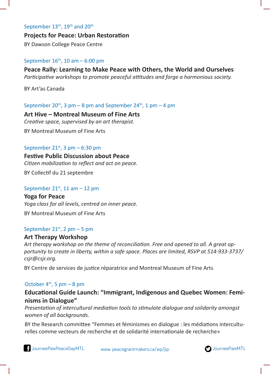#### September 13<sup>th</sup>, 19<sup>th</sup> and 20<sup>th</sup>

**Projects for Peace: Urban Restoration**  BY Dawson College Peace Centre

#### September  $16<sup>th</sup>$ , 10 am – 6:00 pm

#### **Peace Rally: Learning to Make Peace with Others, the World and Ourselves** *Participative workshops to promote peaceful attitudes and forge a harmonious society.*

BY Art'as Canada

September 20<sup>th</sup>, 3 pm – 8 pm and September 24<sup>th</sup>, 1 pm – 4 pm

**Art Hive – Montreal Museum of Fine Arts**  *Creative space, supervised by an art therapist.* BY Montreal Museum of Fine Arts

#### September  $21^{st}$ , 3 pm – 6:30 pm

**Festive Public Discussion about Peace** *Citizen mobilization to reflect and act on peace.* 

BY Collectif du 21 septembre

#### September 21st, 11 am  $-$  12 pm

**Yoga for Peace**  *Yoga class for all levels, centred on inner peace.* BY Montreal Museum of Fine Arts

#### September 21st, 2 pm  $-5$  pm

#### **Art Therapy Workshop**

*Art therapy workshop on the theme of reconciliation. Free and opened to all. A great opportunity to create in liberty, within a safe space. Places are limited, RSVP at 514-933-3737/ csjr@csjr.org.*

BY Centre de services de justice réparatrice and Montreal Museum of Fine Arts

#### October  $4<sup>th</sup>$ , 5 pm – 8 pm

**Educational Guide Launch: "Immigrant, Indigenous and Quebec Women: Feminisms in Dialogue"**

*Presentation of intercultural mediation tools to stimulate dialogue and solidarity amongst women of all backgrounds.*

BY the Research committee "Femmes et féminismes en dialogue : les médiations interculturelles comme vecteurs de recherche et de solidarité internationale de recherche»

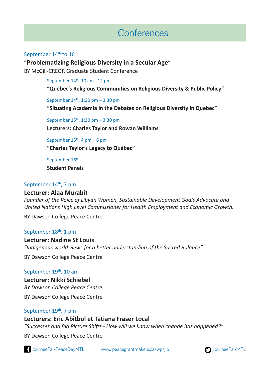# Conferences

#### September 14<sup>th</sup> to 16<sup>th</sup>

#### **"Problematizing Religious Diversity in a Secular Age"**

BY McGill-CREOR Graduate Student Conference

September 14<sup>th</sup>, 10 am - 12 pm

**"Quebec's Religious Communities on Religious Diversity & Public Policy"**

September  $14^{th}$ , 1:30 pm – 3:30 pm

**"Situating Academia in the Debates on Religious Diversity in Quebec"**

September 15<sup>th</sup>, 1:30 pm - 3:30 pm

**Lecturers: Charles Taylor and Rowan Williams** 

September  $15<sup>th</sup>$ , 4 pm – 6 pm

**"Charles Taylor's Legacy to Québec"**

September 16th

**Student Panels**

#### September 14<sup>th</sup>, 7 pm

#### **Lecturer: Alaa Murabit**

*Founder of the Voice of Libyan Women, Sustainable Development Goals Advocate and United Nations High Level Commissioner for Health Employment and Economic Growth.*

BY Dawson College Peace Centre

#### September 18<sup>th</sup>, 1 pm

**Lecturer: Nadine St Louis**  *"Indigenous world views for a better understanding of the Sacred Balance"*

BY Dawson College Peace Centre

#### September 19<sup>th</sup>, 10 am

**Lecturer: Nikki Schiebel**  *BY Dawson College Peace Centre*

BY Dawson College Peace Centre

#### September 19<sup>th</sup>, 7 pm

#### **Lecturers: Eric Abitbol et Tatiana Fraser Local**

*"Successes and Big Picture Shifts - How will we know when change has happened?"*

BY Dawson College Peace Centre

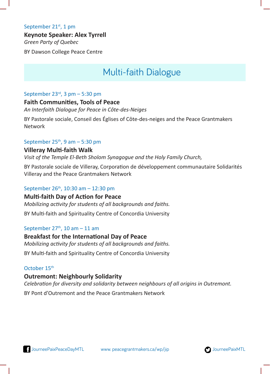#### September 21<sup>st</sup>, 1 pm

#### **Keynote Speaker: Alex Tyrrell**

*Green Party of Quebec*

BY Dawson College Peace Centre

# Multi-faith Dialogue

#### September  $23<sup>rd</sup>$ , 3 pm – 5:30 pm

#### **Faith Communities, Tools of Peace**

*An Interfaith Dialogue for Peace in Côte-des-Neiges*

BY Pastorale sociale, Conseil des Églises of Côte-des-neiges and the Peace Grantmakers Network

#### September  $25<sup>th</sup>$ , 9 am – 5:30 pm

#### **Villeray Multi-faith Walk**

*Visit of the Temple El-Beth Sholom Synagogue and the Holy Family Church,*

BY Pastorale sociale de Villeray, Corporation de développement communautaire Solidarités Villeray and the Peace Grantmakers Network

#### September 26th, 10:30 am – 12:30 pm

#### **Multi-faith Day of Action for Peace**

*Mobilizing activity for students of all backgrounds and faiths.* 

BY Multi-faith and Spirituality Centre of Concordia University

#### September  $27<sup>th</sup>$ , 10 am – 11 am

#### **Breakfast for the International Day of Peace**  *Mobilizing activity for students of all backgrounds and faiths.*  BY Multi-faith and Spirituality Centre of Concordia University

#### October 15<sup>th</sup>

#### **Outremont: Neighbourly Solidarity**

*Celebration for diversity and solidarity between neighbours of all origins in Outremont.* 

BY Pont d'Outremont and the Peace Grantmakers Network

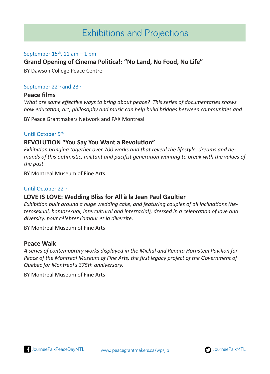# Exhibitions and Projections

#### September  $15<sup>th</sup>$ , 11 am  $-1$  pm

#### **Grand Opening of Cinema Politica!: "No Land, No Food, No Life"**

BY Dawson College Peace Centre

#### September 22<sup>nd</sup> and 23<sup>rd</sup>

#### **Peace films**

*What are some effective ways to bring about peace? This series of documentaries shows how education, art, philosophy and music can help build bridges between communities and* 

BY Peace Grantmakers Network and PAX Montreal

#### Until October 9<sup>th</sup>

#### **REVOLUTION "You Say You Want a Revolution"**

*Exhibition bringing together over 700 works and that reveal the lifestyle, dreams and demands of this optimistic, militant and pacifist generation wanting to break with the values of the past.* 

BY Montreal Museum of Fine Arts

#### Until October 22nd

#### **LOVE IS LOVE: Wedding Bliss for All à la Jean Paul Gaultier**

*Exhibition built around a huge wedding cake, and featuring couples of all inclinations (heterosexual, homosexual, intercultural and interracial), dressed in a celebration of love and diversity. pour célébrer l'amour et la diversité.* 

BY Montreal Museum of Fine Arts

#### **Peace Walk**

*A series of contemporary works displayed in the Michal and Renata Hornstein Pavilion for Peace of the Montreal Museum of Fine Arts, the first legacy project of the Government of Quebec for Montreal's 375th anniversary.* 

BY Montreal Museum of Fine Arts

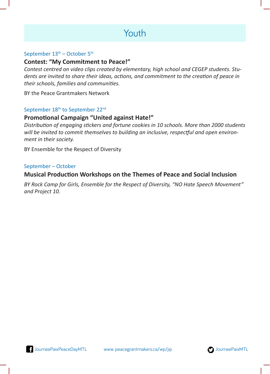# Youth

#### September  $13<sup>th</sup>$  – October  $5<sup>th</sup>$

#### **Contest: "My Commitment to Peace!"**

*Contest centred on video clips created by elementary, high school and CEGEP students. Students are invited to share their ideas, actions, and commitment to the creation of peace in their schools, families and communities.*

BY the Peace Grantmakers Network

#### September 18<sup>th</sup> to September 22<sup>nd</sup>

#### **Promotional Campaign "United against Hate!"**

*Distribution of engaging stickers and fortune cookies in 10 schools. More than 2000 students will be invited to commit themselves to building an inclusive, respectful and open environment in their society.* 

BY Ensemble for the Respect of Diversity

#### September – October

#### **Musical Production Workshops on the Themes of Peace and Social Inclusion**

*BY Rock Camp for Girls, Ensemble for the Respect of Diversity, "NO Hate Speech Movement" and Project 10.* 

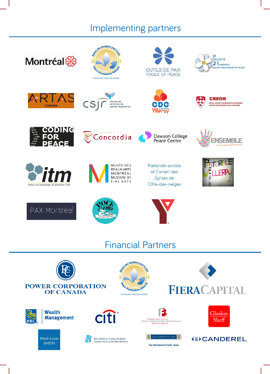# Implementing partners

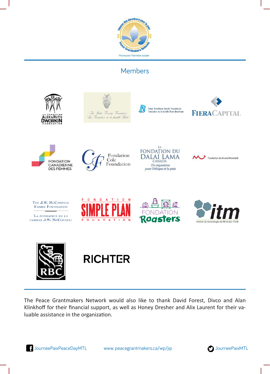

### Members



The Peace Grantmakers Network would also like to thank David Forest, Divco and Alan Klinkhoff for their financial support, as well as Honey Dresher and Alix Laurent for their valuable assistance in the organization.